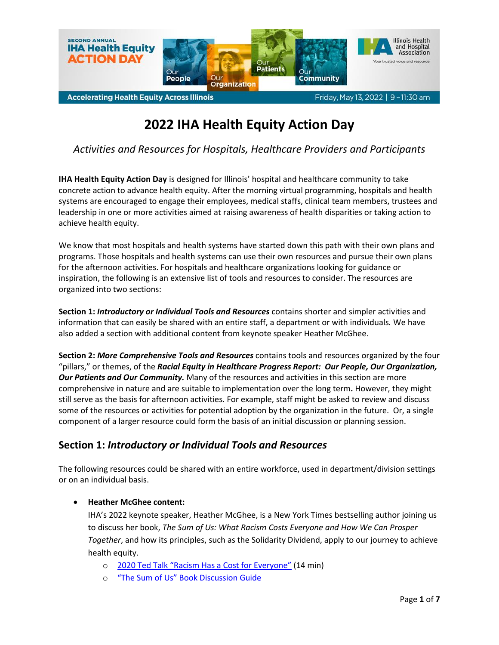

# **2022 IHA Health Equity Action Day**

*Activities and Resources for Hospitals, Healthcare Providers and Participants*

**IHA Health Equity Action Day** is designed for Illinois' hospital and healthcare community to take concrete action to advance health equity. After the morning virtual programming, hospitals and health systems are encouraged to engage their employees, medical staffs, clinical team members, trustees and leadership in one or more activities aimed at raising awareness of health disparities or taking action to achieve health equity.

We know that most hospitals and health systems have started down this path with their own plans and programs. Those hospitals and health systems can use their own resources and pursue their own plans for the afternoon activities. For hospitals and healthcare organizations looking for guidance or inspiration, the following is an extensive list of tools and resources to consider. The resources are organized into two sections:

**Section 1:** *Introductory or Individual Tools and Resources* contains shorter and simpler activities and information that can easily be shared with an entire staff, a department or with individuals*.* We have also added a section with additional content from keynote speaker Heather McGhee.

**Section 2:** *More Comprehensive Tools and Resources* contains tools and resources organized by the four "pillars," or themes, of the *Racial Equity in Healthcare Progress Report: Our People, Our Organization, Our Patients and Our Community.* Many of the resources and activities in this section are more comprehensive in nature and are suitable to implementation over the long term**.** However, they might still serve as the basis for afternoon activities. For example, staff might be asked to review and discuss some of the resources or activities for potential adoption by the organization in the future. Or, a single component of a larger resource could form the basis of an initial discussion or planning session.

## **Section 1:** *Introductory or Individual Tools and Resources*

The following resources could be shared with an entire workforce, used in department/division settings or on an individual basis.

#### **Heather McGhee content:**

IHA's 2022 keynote speaker, Heather McGhee, is a New York Times bestselling author joining us to discuss her book, *The Sum of Us: What Racism Costs Everyone and How We Can Prosper Together*, and how its principles, such as the Solidarity Dividend, apply to our journey to achieve health equity.

- o 2020 Ted Talk ["Racism Has a Cost for Everyone"](https://www.ted.com/talks/heather_c_mcghee_racism_has_a_cost_for_everyone?language=en) (14 min)
- o ["The Sum of Us" Book Discussion Guide](https://heathermcghee.com/wp-content/uploads/2021/02/McGHEE_TheSumOfUs_HC_DiscussionGuide_Final.pdf)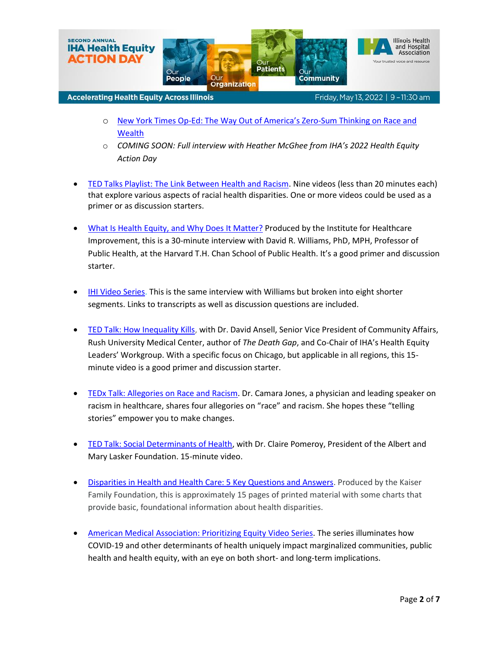

Friday, May 13, 2022 | 9 - 11:30 am

- o New York Times Op-[Ed: The Way Out of America's Zero](https://www.nytimes.com/2021/02/13/opinion/race-economy-inequality-civil-rights.html?searchResultPosition=1)-Sum Thinking on Race and **[Wealth](https://www.nytimes.com/2021/02/13/opinion/race-economy-inequality-civil-rights.html?searchResultPosition=1)**
- o *COMING SOON: Full interview with Heather McGhee from IHA's 2022 Health Equity Action Day*
- [TED Talks Playlist: The Link Between Health and Racism.](https://www.ted.com/playlists/567/the_link_between_health_and_racism) Nine videos (less than 20 minutes each) that explore various aspects of racial health disparities. One or more videos could be used as a primer or as discussion starters.
- [What Is Health Equity, and Why Does It Matter?](https://www.youtube.com/watch?v=NWNgUXyvDuo) Produced by the Institute for Healthcare Improvement, this is a 30-minute interview with David R. Williams, PhD, MPH, Professor of Public Health, at the Harvard T.H. Chan School of Public Health. It's a good primer and discussion starter.
- [IHI Video Series.](http://www.ihi.org/education/IHIOpenSchool/resources/Pages/AudioAndVideo/David-Williams-Don-Berwick-What-Is-Health-Equity-And-Why-Does-It-Matter.aspx) This is the same interview with Williams but broken into eight shorter segments. Links to transcripts as well as discussion questions are included.
- **[TED Talk: How Inequality Kills,](https://www.youtube.com/watch?v=wVu6c8RGf8Q) with Dr. David Ansell, Senior Vice President of Community Affairs,** Rush University Medical Center, author of *The Death Gap*, and Co-Chair of IHA's Health Equity Leaders' Workgroup. With a specific focus on Chicago, but applicable in all regions, this 15 minute video is a good primer and discussion starter.
- [TEDx Talk: Allegories on Race and Racism.](https://www.youtube.com/watch?v=GNhcY6fTyBM) Dr. Camara Jones, a physician and leading speaker on racism in healthcare, shares four allegories on "race" and racism. She hopes these "telling stories" empower you to make changes.
- [TED Talk: Social Determinants of Health,](https://www.youtube.com/watch?v=qykD-2AXKIU) with Dr. Claire Pomeroy, President of the Albert and Mary Lasker Foundation. 15-minute video.
- [Disparities in Health and Health Care: 5 Key Questions and Answers.](https://www.kff.org/racial-equity-and-health-policy/issue-brief/disparities-in-health-and-health-care-5-key-question-and-answers/) Produced by the Kaiser Family Foundation, this is approximately 15 pages of printed material with some charts that provide basic, foundational information about health disparities.
- American Medical Association: [Prioritizing Equity Video Series.](https://www.ama-assn.org/delivering-care/health-equity/prioritizing-equity-video-series) The series illuminates how COVID-19 and other determinants of health uniquely impact marginalized communities, public health and health equity, with an eye on both short- and long-term implications.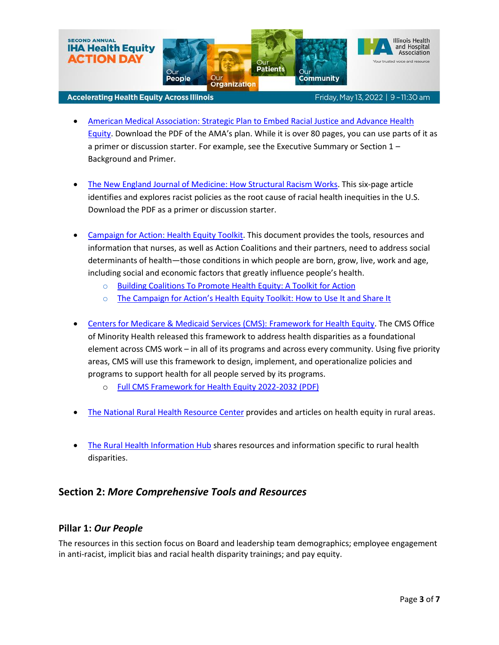

Friday, May 13, 2022 | 9 - 11:30 am

- American Medical Association: [Strategic Plan to Embed Racial Justice and Advance Health](https://www.ama-assn.org/about/leadership/ama-s-strategic-plan-embed-racial-justice-and-advance-health-equity)  [Equity](https://www.ama-assn.org/about/leadership/ama-s-strategic-plan-embed-racial-justice-and-advance-health-equity). Download the PDF of the AMA's plan. While it is over 80 pages, you can use parts of it as a primer or discussion starter. For example, see the Executive Summary or Section 1 – Background and Primer.
- [The New England Journal of Medicine: How Structural Racism Works.](https://www.team-iha.org/files/non-gated/quality/nejm-how-structural-racism-works.aspx?ext=.pdf) This six-page article identifies and explores racist policies as the root cause of racial health inequities in the U.S. Download the PDF as a primer or discussion starter.
- Campaign for Action: [Health Equity Toolkit.](https://campaignforaction.org/resource/equity-toolkit/) This document provides the tools, resources and information that nurses, as well as Action Coalitions and their partners, need to address social determinants of health—those conditions in which people are born, grow, live, work and age, including social and economic factors that greatly influence people's health.
	- o Building Coalitions To Promote [Health Equity: A Toolkit for Action](https://campaignforaction.org/wp-content/uploads/2021/05/AARP_CCNA_HealthEquityToolkit_041522_111.pdf)
	- $\circ$  [The Campaign for Action's Health Equity Toolkit:](https://campaignforaction.org/webinar/how-to-use-share-health-equity-toolkit/) How to Use It and Share It
- [Centers for Medicare & Medicaid Services \(CMS\):](https://www.cms.gov/About-CMS/Agency-Information/OMH/equity-initiatives/framework-for-health-equity) Framework for Health Equity. The CMS Office of Minority Health released this framework to address health disparities as a foundational element across CMS work – in all of its programs and across every community. Using five priority areas, CMS will use this framework to design, implement, and operationalize policies and programs to support health for all people served by its programs.
	- o [Full CMS Framework for Health Equity 2022-2032 \(PDF\)](https://www.cms.gov/sites/default/files/2022-04/CMS%20Framework%20for%20Health%20Equity_2022%2004%2006.pdf)
- [The National Rural Health Resource Center](https://www.ruralcenter.org/resource-library/health-equity) provides and articles on health equity in rural areas.
- [The Rural Health Information Hub](https://www.ruralhealthinfo.org/topics/rural-health-disparities) shares resources and information specific to rural health disparities.

## **Section 2:** *More Comprehensive Tools and Resources*

### **Pillar 1:** *Our People*

The resources in this section focus on Board and leadership team demographics; employee engagement in anti-racist, implicit bias and racial health disparity trainings; and pay equity.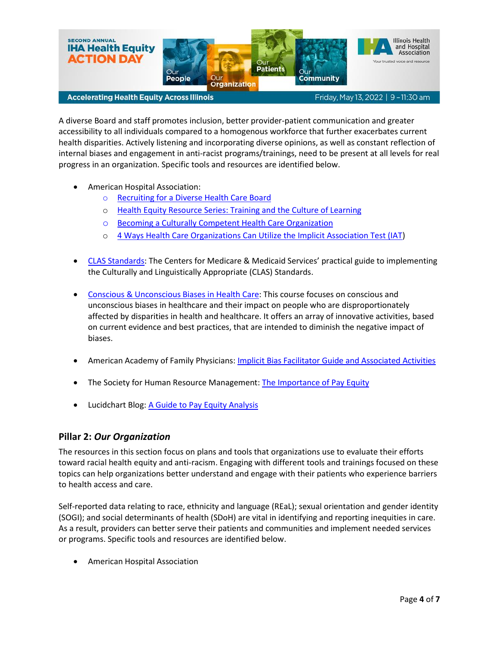

Friday, May 13, 2022 | 9 - 11:30 am

A diverse Board and staff promotes inclusion, better provider-patient communication and greater accessibility to all individuals compared to a homogenous workforce that further exacerbates current health disparities. Actively listening and incorporating diverse opinions, as well as constant reflection of internal biases and engagement in anti-racist programs/trainings, need to be present at all levels for real progress in an organization. Specific tools and resources are identified below.

- American Hospital Association:
	- o [Recruiting for a Diverse Health Care Board](https://trustees.aha.org/recruiting-diverse-health-care-board)
	- o Health Equity Resource Series: [Training and the Culture of Learning](https://ifdhe.aha.org/system/files/media/file/2021/05/ifdhe_cultural_learning_toolkit_2.pdf)
	- o [Becoming a Culturally Competent Health Care Organization](http://www.hpoe.org/Reports-HPOE/becoming_culturally_competent_health_care_organization.PDF)
	- o [4 Ways Health Care Organizations Can Utilize the Implicit Association Test \(IAT\)](https://www.aonl.org/system/files/media/file/2019/04/ifd-implicit-association-0419.pdf)
- [CLAS Standards:](https://www.cms.gov/About-CMS/Agency-Information/OMH/Downloads/CLAS-Toolkit-12-7-16.pdf) The Centers for Medicare & Medicaid Services' practical guide to implementing the Culturally and Linguistically Appropriate (CLAS) Standards.
- [Conscious & Unconscious Biases in Health Care:](https://nccc.georgetown.edu/bias/index.php) This course focuses on conscious and unconscious biases in healthcare and their impact on people who are disproportionately affected by disparities in health and healthcare. It offers an array of innovative activities, based on current evidence and best practices, that are intended to diminish the negative impact of biases.
- American Academy of Family Physicians[: Implicit Bias Facilitator Guide and Associated Activities](https://www.aafp.org/dam/AAFP/documents/patient_care/health_equity/implicit-bias-training-facilitator-guide.pdf)
- The Society for Human Resource Management: [The Importance of Pay Equity](https://www.shrm.org/hr-today/news/hr-magazine/spring2020/pages/importance-of-pay-equity.aspx)
- Lucidchart Blog: [A Guide to Pay Equity Analysis](https://www.lucidchart.com/blog/pay-equity-analysis)

### **Pillar 2:** *Our Organization*

The resources in this section focus on plans and tools that organizations use to evaluate their efforts toward racial health equity and anti-racism. Engaging with different tools and trainings focused on these topics can help organizations better understand and engage with their patients who experience barriers to health access and care.

Self-reported data relating to race, ethnicity and language (REaL); sexual orientation and gender identity (SOGI); and social determinants of health (SDoH) are vital in identifying and reporting inequities in care. As a result, providers can better serve their patients and communities and implement needed services or programs. Specific tools and resources are identified below.

American Hospital Association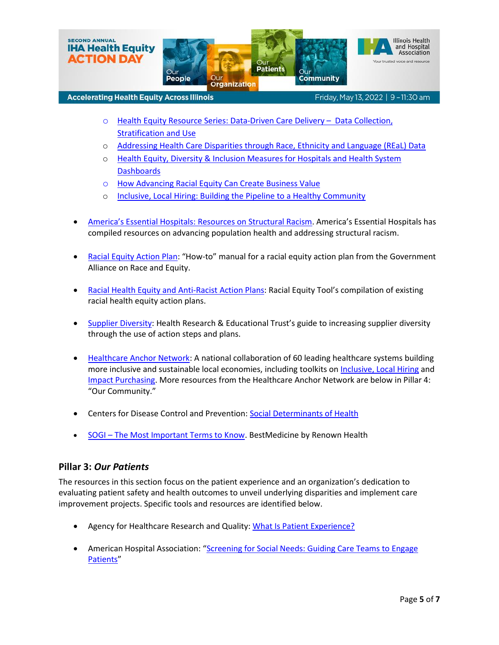

Friday, May 13, 2022 | 9 - 11:30 am

- o [Health Equity Resource Series:](https://ifdhe.aha.org/system/files/media/file/2021/04/ifdhe_real_data_toolkit_1.pdf) Data-Driven Care Delivery Data Collection, [Stratification and Use](https://ifdhe.aha.org/system/files/media/file/2021/04/ifdhe_real_data_toolkit_1.pdf)
- o [Addressing Health Care Disparities through Race, Ethnicity and Language \(REaL\) Data](https://ifdhe.aha.org/system/files/media/file/2020/06/ifdhe_real_data_resource.pdf)
- o [Health Equity, Diversity & Inclusion Measures for Hospitals and Health System](https://www.aha.org/system/files/media/file/2020/12/ifdhe-inclusion-dashboard-FINAL.pdf)  **[Dashboards](https://www.aha.org/system/files/media/file/2020/12/ifdhe-inclusion-dashboard-FINAL.pdf)**
- o [How Advancing Racial Equity Can Create Business Value](https://ifdhe.aha.org/how-advancing-racial-equity-can-create-business-value)
- o [Inclusive, Local Hiring: Building the Pipeline to a Healthy Community](https://www.healthycommunities.org/inclusive-local-hiring-building-pipeline-healthy-community)
- America's Essential Hospitals: [Resources on Structural Racism.](https://essentialcommunities.org/) America's Essential Hospitals has compiled resources on advancing population health and addressing structural racism.
- [Racial Equity Action Plan:](https://www.racialequityalliance.org/wp-content/uploads/2016/11/GARE-Racial-Equity-Action-Plans.pdf) "How-to" manual for a racial equity action plan from the Government Alliance on Race and Equity.
- [Racial Health Equity and Anti-Racist Action Plans](https://www.racialequitytools.org/plan/action-plan/action-plan-examples): Racial Equity Tool's compilation of existing racial health equity action plans.
- [Supplier Diversity:](https://www.aha.org/system/files/hpoe/Reports-HPOE/2015/2015_supplier_diversity_FINAL.pdf) Health Research & Educational Trust's guide to increasing supplier diversity through the use of action steps and plans.
- [Healthcare Anchor Network:](https://healthcareanchor.network/) A national collaboration of 60 leading healthcare systems building more inclusive and sustainable local economies, including toolkits on [Inclusive, Local Hiring](https://healthcareanchor.network/2019/11/inclusive-local-hiring/) and [Impact Purchasing.](https://healthcareanchor.network/2019/11/inclusive-local-sourcing/) More resources from the Healthcare Anchor Network are below in Pillar 4: "Our Community."
- Centers for Disease Control and Prevention[: Social Determinants of Health](https://www.cdc.gov/socialdeterminants/index.htm)
- SOGI [The Most Important Terms to Know.](https://www.renown.org/blog/sogi-the-most-important-terms-to-know/#:~:text=SOGI%20stands%20for%20sexual%20orientation,others%20with%20dignity%20and%20respect.) BestMedicine by Renown Health

### **Pillar 3:** *Our Patients*

The resources in this section focus on the patient experience and an organization's dedication to evaluating patient safety and health outcomes to unveil underlying disparities and implement care improvement projects. Specific tools and resources are identified below.

- Agency for Healthcare Research and Quality: [What Is Patient Experience?](https://www.ahrq.gov/cahps/about-cahps/patient-experience/index.html#:~:text=Patient%20Experience%20Defined,and%20other%20health%20care%20facilities.)
- American Hospital Association: "[Screening for Social Needs: Guiding Care Teams to Engage](https://www.aha.org/toolkitsmethodology/2019-06-05-screening-social-needs-guiding-care-teams-engage-patients#:~:text=Toolkits%2FMethodology-,Screening%20for%20Social%20Needs%3A%20Guiding%20Care%20Teams%20to%20Engage%20Patients,a%20barrier%20to%20good%20health.)  [Patients](https://www.aha.org/toolkitsmethodology/2019-06-05-screening-social-needs-guiding-care-teams-engage-patients#:~:text=Toolkits%2FMethodology-,Screening%20for%20Social%20Needs%3A%20Guiding%20Care%20Teams%20to%20Engage%20Patients,a%20barrier%20to%20good%20health.)"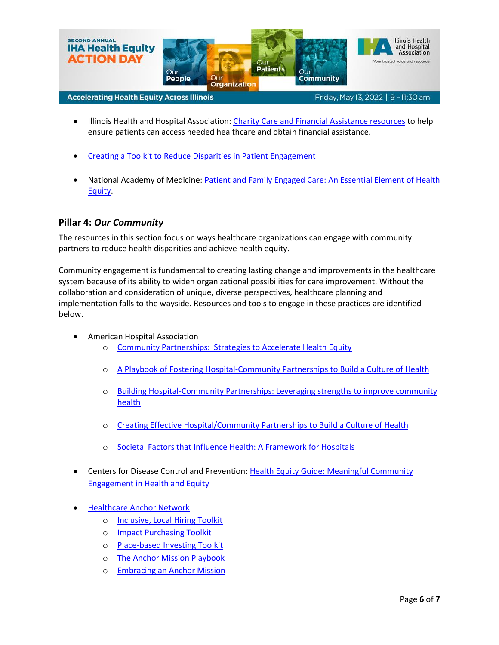

- Illinois Health and Hospital Association: [Charity Care and Financial Assistance](https://www.team-iha.org/finance/charity-care-financial-assistance) resources to help ensure patients can access needed healthcare and obtain financial assistance.
- [Creating a Toolkit to Reduce Disparities in Patient Engagement](https://www.alliance4ptsafety.org/IHAMAPS/media/media/Creating_a_Toolkit_to_Reduce_Disparities_in-12.pdf)
- National Academy of Medicine: [Patient and Family Engaged Care: An Essential Element of Health](https://nam.edu/patient-and-family-engaged-care-an-essential-element-of-health-equity/)  [Equity.](https://nam.edu/patient-and-family-engaged-care-an-essential-element-of-health-equity/)

### **Pillar 4:** *Our Community*

The resources in this section focus on ways healthcare organizations can engage with community partners to reduce health disparities and achieve health equity.

Community engagement is fundamental to creating lasting change and improvements in the healthcare system because of its ability to widen organizational possibilities for care improvement. Without the collaboration and consideration of unique, diverse perspectives, healthcare planning and implementation falls to the wayside. Resources and tools to engage in these practices are identified below.

- American Hospital Association
	- o [Community Partnerships: Strategies to Accelerate Health Equity](https://ifdhe.aha.org/system/files/media/file/2021/08/ifdhe_community_partnership_toolkit.pdf)
	- o [A Playbook of Fostering Hospital-Community Partnerships to Build a Culture of Health](https://www.aha.org/system/files/hpoe/Reports-HPOE/2017/A-playbook-for-fostering-hospitalcommunity-partnerships.pdf)
	- o Building Hospital-Community Partnerships: [Leveraging strengths to improve community](https://trustees.aha.org/building-hospital-community-partnerships)  [health](https://trustees.aha.org/building-hospital-community-partnerships)
	- o [Creating Effective Hospital/Community Partnerships to Build a Culture of Health](https://www.aha.org/system/files/hpoe/Reports-HPOE/2016/creating-effective-hospital-community-partnerships.pdf)
	- o [Societal Factors that Influence Health: A Framework for Hospitals](https://www.aha.org/system/files/media/file/2020/12/SocietalFactorsFramework-12-2020.pdf)
- Centers for Disease Control and Prevention[: Health Equity Guide: Meaningful Community](https://www.cdc.gov/nccdphp/dnpao/state-local-programs/health-equity-guide/pdf/health-equity-guide/Health-Equity-Guide-sect-1-2.pdf)  [Engagement in Health and Equity](https://www.cdc.gov/nccdphp/dnpao/state-local-programs/health-equity-guide/pdf/health-equity-guide/Health-Equity-Guide-sect-1-2.pdf)
- [Healthcare Anchor Network:](https://healthcareanchor.network/)
	- o [Inclusive, Local Hiring Toolkit](https://healthcareanchor.network/2019/11/inclusive-local-hiring/)
	- o [Impact Purchasing Toolkit](https://healthcareanchor.network/2019/11/inclusive-local-sourcing/)
	- o [Place-based Investing Toolkit](https://healthcareanchor.network/2019/11/place-based-investing/)
	- o [The Anchor Mission Playbook](https://healthcareanchor.network/2019/11/the-anchor-mission-playbook/)
	- o [Embracing an Anchor Mission](https://healthcareanchor.network/2019/11/embracing-an-anchor-mission/)